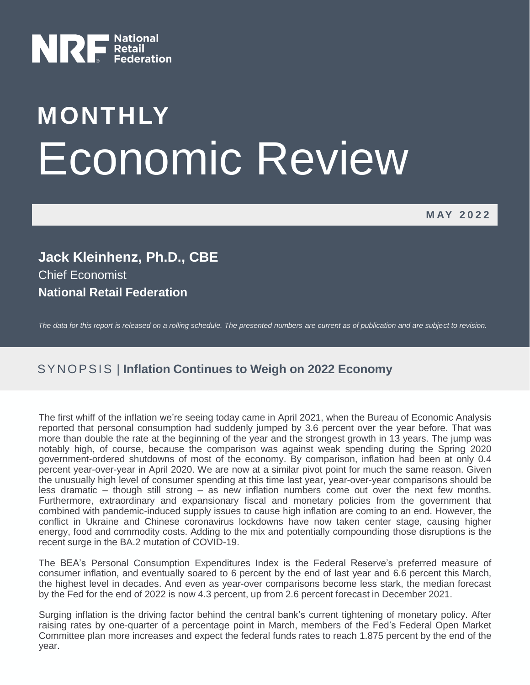

# **MONTHLY** Economic Review

**M AY 2022**

**Jack Kleinhenz, Ph.D., CBE** Chief Economist **National Retail Federation**

*The data for this report is released on a rolling schedule. The presented numbers are current as of publication and are subject to revision.*

## SYNOPSIS | Inflation Continues to Weigh on 2022 Economy

The first whiff of the inflation we're seeing today came in April 2021, when the Bureau of Economic Analysis reported that personal consumption had suddenly jumped by 3.6 percent over the year before. That was more than double the rate at the beginning of the year and the strongest growth in 13 years. The jump was notably high, of course, because the comparison was against weak spending during the Spring 2020 government-ordered shutdowns of most of the economy. By comparison, inflation had been at only 0.4 percent year-over-year in April 2020. We are now at a similar pivot point for much the same reason. Given the unusually high level of consumer spending at this time last year, year-over-year comparisons should be less dramatic – though still strong – as new inflation numbers come out over the next few months. Furthermore, extraordinary and expansionary fiscal and monetary policies from the government that combined with pandemic-induced supply issues to cause high inflation are coming to an end. However, the conflict in Ukraine and Chinese coronavirus lockdowns have now taken center stage, causing higher energy, food and commodity costs. Adding to the mix and potentially compounding those disruptions is the recent surge in the BA.2 mutation of COVID-19.

The BEA's Personal Consumption Expenditures Index is the Federal Reserve's preferred measure of consumer inflation, and eventually soared to 6 percent by the end of last year and 6.6 percent this March, the highest level in decades. And even as year-over comparisons become less stark, the median forecast by the Fed for the end of 2022 is now 4.3 percent, up from 2.6 percent forecast in December 2021.

Surging inflation is the driving factor behind the central bank's current tightening of monetary policy. After raising rates by one-quarter of a percentage point in March, members of the Fed's Federal Open Market Committee plan more increases and expect the federal funds rates to reach 1.875 percent by the end of the year.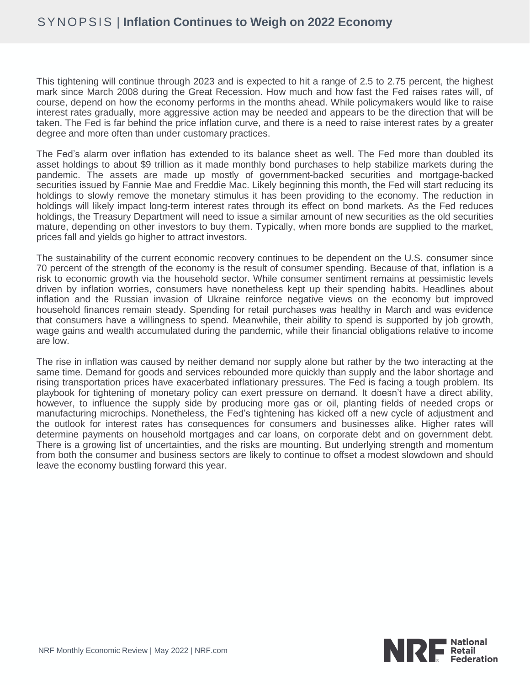This tightening will continue through 2023 and is expected to hit a range of 2.5 to 2.75 percent, the highest mark since March 2008 during the Great Recession. How much and how fast the Fed raises rates will, of course, depend on how the economy performs in the months ahead. While policymakers would like to raise interest rates gradually, more aggressive action may be needed and appears to be the direction that will be taken. The Fed is far behind the price inflation curve, and there is a need to raise interest rates by a greater degree and more often than under customary practices.

The Fed's alarm over inflation has extended to its balance sheet as well. The Fed more than doubled its asset holdings to about \$9 trillion as it made monthly bond purchases to help stabilize markets during the pandemic. The assets are made up mostly of government-backed securities and mortgage-backed securities issued by Fannie Mae and Freddie Mac. Likely beginning this month, the Fed will start reducing its holdings to slowly remove the monetary stimulus it has been providing to the economy. The reduction in holdings will likely impact long-term interest rates through its effect on bond markets. As the Fed reduces holdings, the Treasury Department will need to issue a similar amount of new securities as the old securities mature, depending on other investors to buy them. Typically, when more bonds are supplied to the market, prices fall and yields go higher to attract investors.

The sustainability of the current economic recovery continues to be dependent on the U.S. consumer since 70 percent of the strength of the economy is the result of consumer spending. Because of that, inflation is a risk to economic growth via the household sector. While consumer sentiment remains at pessimistic levels driven by inflation worries, consumers have nonetheless kept up their spending habits. Headlines about inflation and the Russian invasion of Ukraine reinforce negative views on the economy but improved household finances remain steady. Spending for retail purchases was healthy in March and was evidence that consumers have a willingness to spend. Meanwhile, their ability to spend is supported by job growth, wage gains and wealth accumulated during the pandemic, while their financial obligations relative to income are low.

The rise in inflation was caused by neither demand nor supply alone but rather by the two interacting at the same time. Demand for goods and services rebounded more quickly than supply and the labor shortage and rising transportation prices have exacerbated inflationary pressures. The Fed is facing a tough problem. Its playbook for tightening of monetary policy can exert pressure on demand. It doesn't have a direct ability, however, to influence the supply side by producing more gas or oil, planting fields of needed crops or manufacturing microchips. Nonetheless, the Fed's tightening has kicked off a new cycle of adjustment and the outlook for interest rates has consequences for consumers and businesses alike. Higher rates will determine payments on household mortgages and car loans, on corporate debt and on government debt. There is a growing list of uncertainties, and the risks are mounting. But underlying strength and momentum from both the consumer and business sectors are likely to continue to offset a modest slowdown and should leave the economy bustling forward this year.

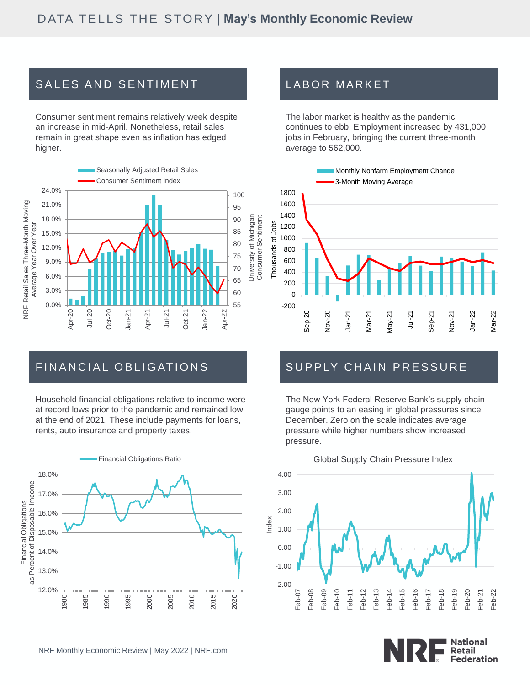# SALES AND SENTIMENT

Consumer sentiment remains relatively week despite an increase in mid-April. Nonetheless, retail sales remain in great shape even as inflation has edged higher.



## FINANCIAL OBLIGATIONS

Household financial obligations relative to income were at record lows prior to the pandemic and remained low at the end of 2021. These include payments for loans, rents, auto insurance and property taxes.



## LABOR MARKET

The labor market is healthy as the pandemic continues to ebb. Employment increased by 431,000 jobs in February, bringing the current three-month average to 562,000.



## SUPPLY CHAIN PRESSURE

The New York Federal Reserve Bank's supply chain gauge points to an easing in global pressures since December. Zero on the scale indicates average pressure while higher numbers show increased pressure.



#### Global Supply Chain Pressure Index